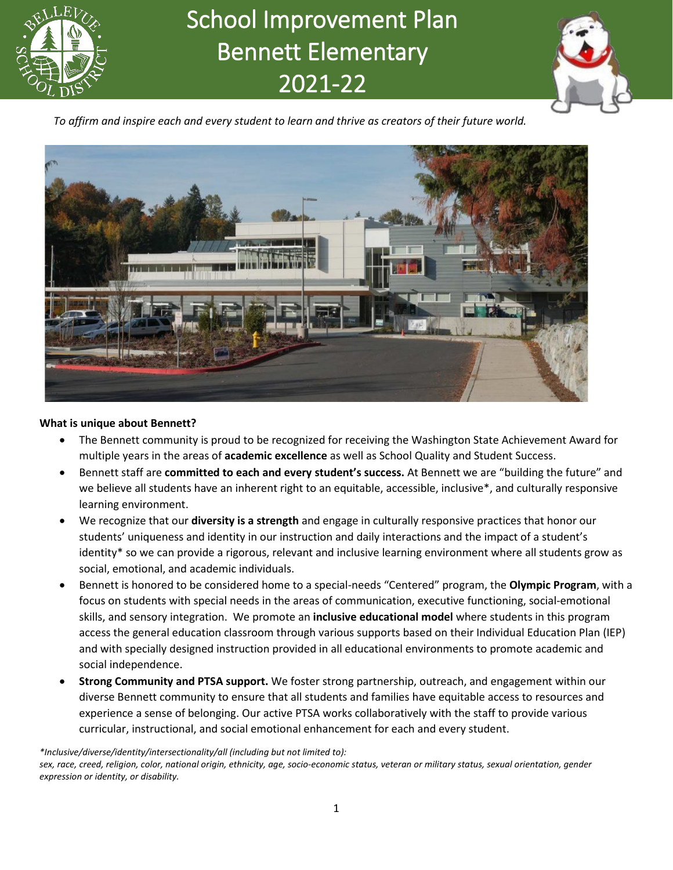

# *Bellevue School District Vision* 2021-22School Improvement Plan Bennett Elementary



*To affirm and inspire each and every student to learn and thrive as creators of their future world.*



#### **What is unique about Bennett?**

- The Bennett community is proud to be recognized for receiving the Washington State Achievement Award for multiple years in the areas of **academic excellence** as well as School Quality and Student Success.
- Bennett staff are **committed to each and every student's success.** At Bennett we are "building the future" and we believe all students have an inherent right to an equitable, accessible, inclusive\*, and culturally responsive learning environment.
- We recognize that our **diversity is a strength** and engage in culturally responsive practices that honor our students' uniqueness and identity in our instruction and daily interactions and the impact of a student's identity\* so we can provide a rigorous, relevant and inclusive learning environment where all students grow as social, emotional, and academic individuals.
- Bennett is honored to be considered home to a special-needs "Centered" program, the **Olympic Program**, with a focus on students with special needs in the areas of communication, executive functioning, social-emotional skills, and sensory integration. We promote an **inclusive educational model** where students in this program access the general education classroom through various supports based on their Individual Education Plan (IEP) and with specially designed instruction provided in all educational environments to promote academic and social independence.
- **Strong Community and PTSA support.** We foster strong partnership, outreach, and engagement within our diverse Bennett community to ensure that all students and families have equitable access to resources and experience a sense of belonging. Our active PTSA works collaboratively with the staff to provide various curricular, instructional, and social emotional enhancement for each and every student.

*\*Inclusive/diverse/identity/intersectionality/all (including but not limited to):*

*sex, race, creed, religion, color, national origin, ethnicity, age, socio-economic status, veteran or military status, sexual orientation, gender expression or identity, or disability.*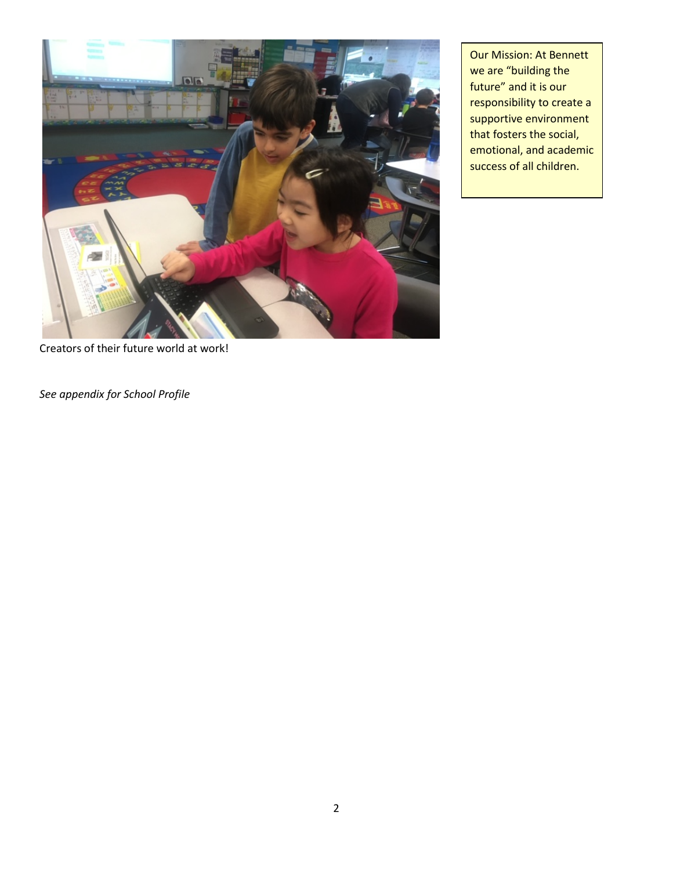

Our Mission: At Bennett we are "building the future" and it is our responsibility to create a supportive environment that fosters the social, emotional, and academic success of all children.

Creators of their future world at work!

*See appendix for School Profile*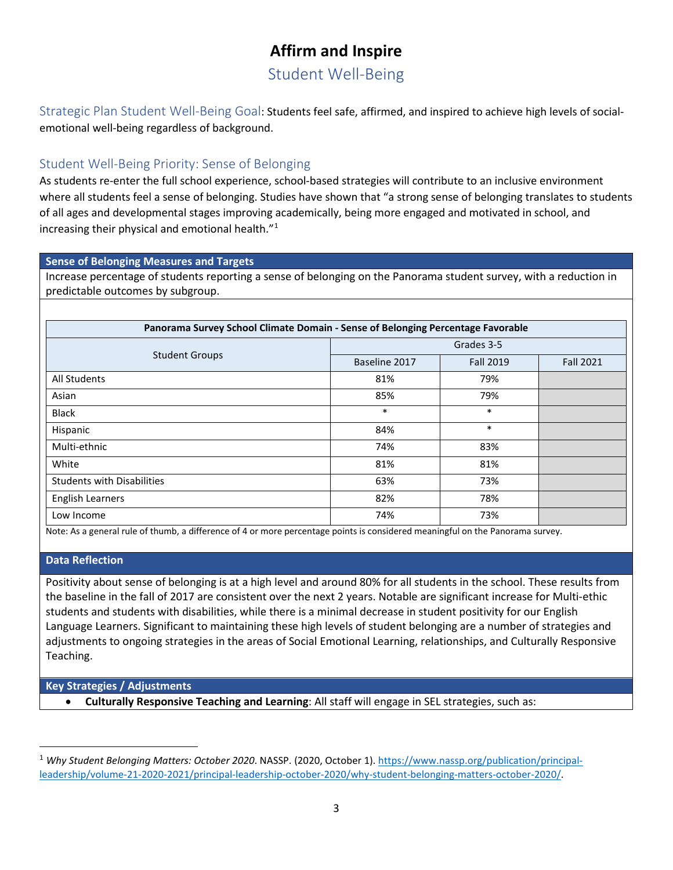## **Affirm and Inspire**

Student Well-Being

Strategic Plan Student Well-Being Goal: Students feel safe, affirmed, and inspired to achieve high levels of socialemotional well-being regardless of background.

## Student Well-Being Priority: Sense of Belonging

As students re-enter the full school experience, school-based strategies will contribute to an inclusive environment where all students feel a sense of belonging. Studies have shown that "a strong sense of belonging translates to students of all ages and developmental stages improving academically, being more engaged and motivated in school, and increasing their physical and emotional health."[1](#page-2-0)

#### **Sense of Belonging Measures and Targets**

Increase percentage of students reporting a sense of belonging on the Panorama student survey, with a reduction in predictable outcomes by subgroup.

| Panorama Survey School Climate Domain - Sense of Belonging Percentage Favorable |               |                  |                  |  |
|---------------------------------------------------------------------------------|---------------|------------------|------------------|--|
|                                                                                 | Grades 3-5    |                  |                  |  |
| <b>Student Groups</b>                                                           | Baseline 2017 | <b>Fall 2019</b> | <b>Fall 2021</b> |  |
| All Students                                                                    | 81%           | 79%              |                  |  |
| Asian                                                                           | 85%           | 79%              |                  |  |
| <b>Black</b>                                                                    | $\ast$        | $\ast$           |                  |  |
| Hispanic                                                                        | 84%           | $\ast$           |                  |  |
| Multi-ethnic                                                                    | 74%           | 83%              |                  |  |
| White                                                                           | 81%           | 81%              |                  |  |
| <b>Students with Disabilities</b>                                               | 63%           | 73%              |                  |  |
| <b>English Learners</b>                                                         | 82%           | 78%              |                  |  |
| Low Income                                                                      | 74%           | 73%              |                  |  |

Note: As a general rule of thumb, a difference of 4 or more percentage points is considered meaningful on the Panorama survey.

#### **Data Reflection**

Positivity about sense of belonging is at a high level and around 80% for all students in the school. These results from the baseline in the fall of 2017 are consistent over the next 2 years. Notable are significant increase for Multi-ethic students and students with disabilities, while there is a minimal decrease in student positivity for our English Language Learners. Significant to maintaining these high levels of student belonging are a number of strategies and adjustments to ongoing strategies in the areas of Social Emotional Learning, relationships, and Culturally Responsive Teaching.

#### **Key Strategies / Adjustments**

• **Culturally Responsive Teaching and Learning**: All staff will engage in SEL strategies, such as:

<span id="page-2-0"></span><sup>&</sup>lt;sup>1</sup> Why Student Belonging Matters: October 2020. NASSP. (2020, October 1). [https://www.nassp.org/publication/principal](https://www.nassp.org/publication/principal-leadership/volume-21-2020-2021/principal-leadership-october-2020/why-student-belonging-matters-october-2020/)[leadership/volume-21-2020-2021/principal-leadership-october-2020/why-student-belonging-matters-october-2020/.](https://www.nassp.org/publication/principal-leadership/volume-21-2020-2021/principal-leadership-october-2020/why-student-belonging-matters-october-2020/)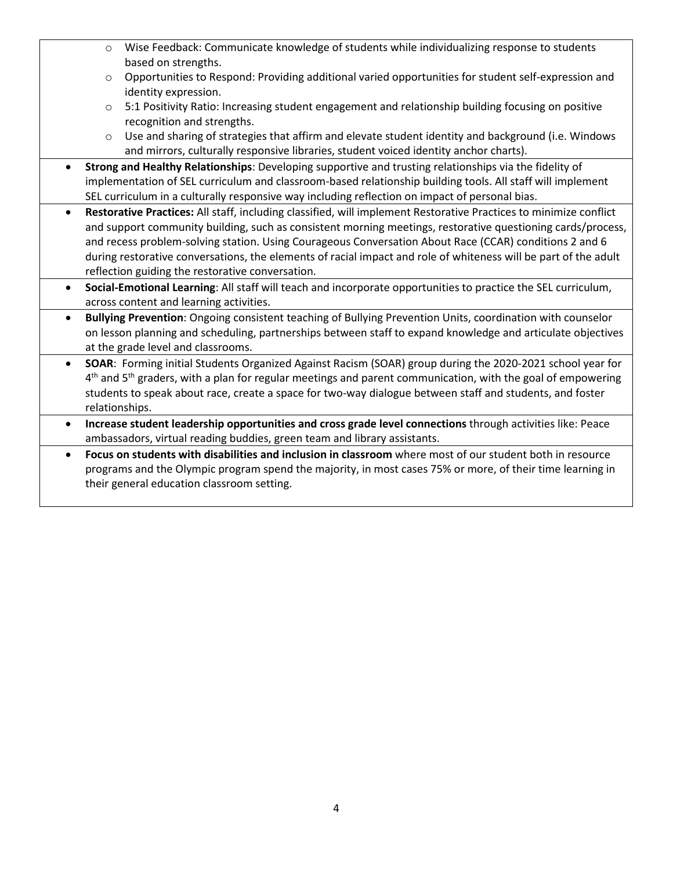o Wise Feedback: Communicate knowledge of students while individualizing response to students based on strengths. o Opportunities to Respond: Providing additional varied opportunities for student self-expression and identity expression. o 5:1 Positivity Ratio: Increasing student engagement and relationship building focusing on positive recognition and strengths.  $\circ$  Use and sharing of strategies that affirm and elevate student identity and background (i.e. Windows and mirrors, culturally responsive libraries, student voiced identity anchor charts). • **Strong and Healthy Relationships**: Developing supportive and trusting relationships via the fidelity of implementation of SEL curriculum and classroom-based relationship building tools. All staff will implement SEL curriculum in a culturally responsive way including reflection on impact of personal bias. • **Restorative Practices:** All staff, including classified, will implement Restorative Practices to minimize conflict and support community building, such as consistent morning meetings, restorative questioning cards/process, and recess problem-solving station. Using Courageous Conversation About Race (CCAR) conditions 2 and 6 during restorative conversations, the elements of racial impact and role of whiteness will be part of the adult reflection guiding the restorative conversation. • **Social-Emotional Learning**: All staff will teach and incorporate opportunities to practice the SEL curriculum, across content and learning activities. • **Bullying Prevention**: Ongoing consistent teaching of Bullying Prevention Units, coordination with counselor on lesson planning and scheduling, partnerships between staff to expand knowledge and articulate objectives at the grade level and classrooms. • **SOAR**: Forming initial Students Organized Against Racism (SOAR) group during the 2020-2021 school year for  $4<sup>th</sup>$  and  $5<sup>th</sup>$  graders, with a plan for regular meetings and parent communication, with the goal of empowering students to speak about race, create a space for two-way dialogue between staff and students, and foster relationships. • **Increase student leadership opportunities and cross grade level connections** through activities like: Peace ambassadors, virtual reading buddies, green team and library assistants. • **Focus on students with disabilities and inclusion in classroom** where most of our student both in resource programs and the Olympic program spend the majority, in most cases 75% or more, of their time learning in their general education classroom setting.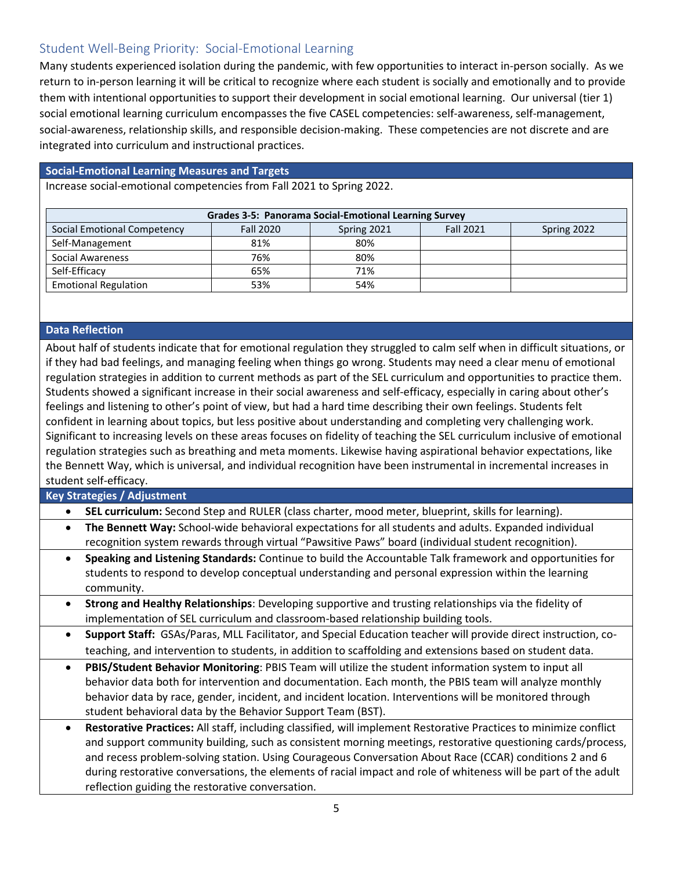## Student Well-Being Priority: Social-Emotional Learning

Many students experienced isolation during the pandemic, with few opportunities to interact in-person socially. As we return to in-person learning it will be critical to recognize where each student is socially and emotionally and to provide them with intentional opportunities to support their development in social emotional learning. Our universal (tier 1) social emotional learning curriculum encompasses the five CASEL competencies: self-awareness, self-management, social-awareness, relationship skills, and responsible decision-making. These competencies are not discrete and are integrated into curriculum and instructional practices.

#### **Social-Emotional Learning Measures and Targets**

Increase social-emotional competencies from Fall 2021 to Spring 2022.

| <b>Grades 3-5: Panorama Social-Emotional Learning Survey</b>                                      |     |     |  |  |  |
|---------------------------------------------------------------------------------------------------|-----|-----|--|--|--|
| Social Emotional Competency<br><b>Fall 2020</b><br><b>Fall 2021</b><br>Spring 2021<br>Spring 2022 |     |     |  |  |  |
| Self-Management                                                                                   | 81% | 80% |  |  |  |
| Social Awareness                                                                                  | 76% | 80% |  |  |  |
| Self-Efficacy                                                                                     | 65% | 71% |  |  |  |
| <b>Emotional Regulation</b>                                                                       | 53% | 54% |  |  |  |

#### **Data Reflection**

About half of students indicate that for emotional regulation they struggled to calm self when in difficult situations, or if they had bad feelings, and managing feeling when things go wrong. Students may need a clear menu of emotional regulation strategies in addition to current methods as part of the SEL curriculum and opportunities to practice them. Students showed a significant increase in their social awareness and self-efficacy, especially in caring about other's feelings and listening to other's point of view, but had a hard time describing their own feelings. Students felt confident in learning about topics, but less positive about understanding and completing very challenging work. Significant to increasing levels on these areas focuses on fidelity of teaching the SEL curriculum inclusive of emotional regulation strategies such as breathing and meta moments. Likewise having aspirational behavior expectations, like the Bennett Way, which is universal, and individual recognition have been instrumental in incremental increases in student self-efficacy.

**Key Strategies / Adjustment**

|  | <b>SEL curriculum:</b> Second Step and RULER (class charter, mood meter, blueprint, skills for learning). |  |  |  |
|--|-----------------------------------------------------------------------------------------------------------|--|--|--|
|--|-----------------------------------------------------------------------------------------------------------|--|--|--|

- **The Bennett Way:** School-wide behavioral expectations for all students and adults. Expanded individual recognition system rewards through virtual "Pawsitive Paws" board (individual student recognition).
- **Speaking and Listening Standards:** Continue to build the Accountable Talk framework and opportunities for students to respond to develop conceptual understanding and personal expression within the learning community.
- **Strong and Healthy Relationships**: Developing supportive and trusting relationships via the fidelity of implementation of SEL curriculum and classroom-based relationship building tools.
- **Support Staff:** GSAs/Paras, MLL Facilitator, and Special Education teacher will provide direct instruction, coteaching, and intervention to students, in addition to scaffolding and extensions based on student data.
- **PBIS/Student Behavior Monitoring**: PBIS Team will utilize the student information system to input all behavior data both for intervention and documentation. Each month, the PBIS team will analyze monthly behavior data by race, gender, incident, and incident location. Interventions will be monitored through student behavioral data by the Behavior Support Team (BST).
- **Restorative Practices:** All staff, including classified, will implement Restorative Practices to minimize conflict and support community building, such as consistent morning meetings, restorative questioning cards/process, and recess problem-solving station. Using Courageous Conversation About Race (CCAR) conditions 2 and 6 during restorative conversations, the elements of racial impact and role of whiteness will be part of the adult reflection guiding the restorative conversation.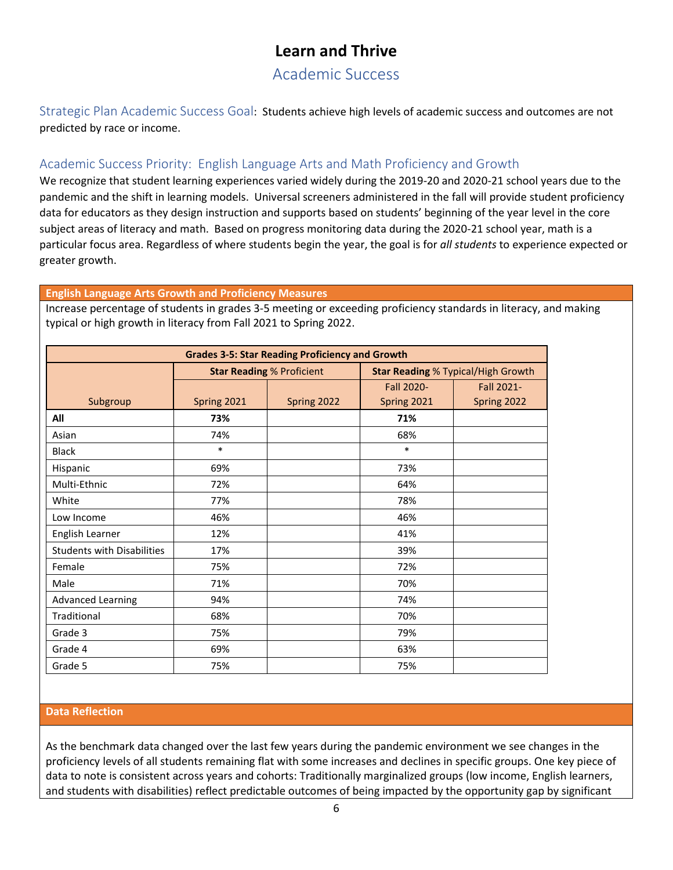## **Learn and Thrive**

## Academic Success

Strategic Plan Academic Success Goal: Students achieve high levels of academic success and outcomes are not predicted by race or income.

### Academic Success Priority: English Language Arts and Math Proficiency and Growth

We recognize that student learning experiences varied widely during the 2019-20 and 2020-21 school years due to the pandemic and the shift in learning models. Universal screeners administered in the fall will provide student proficiency data for educators as they design instruction and supports based on students' beginning of the year level in the core subject areas of literacy and math. Based on progress monitoring data during the 2020-21 school year, math is a particular focus area. Regardless of where students begin the year, the goal is for *all students* to experience expected or greater growth.

#### **English Language Arts Growth and Proficiency Measures**

Increase percentage of students in grades 3-5 meeting or exceeding proficiency standards in literacy, and making typical or high growth in literacy from Fall 2021 to Spring 2022.

| <b>Grades 3-5: Star Reading Proficiency and Growth</b> |                                  |             |                                           |             |  |
|--------------------------------------------------------|----------------------------------|-------------|-------------------------------------------|-------------|--|
|                                                        | <b>Star Reading % Proficient</b> |             | <b>Star Reading % Typical/High Growth</b> |             |  |
|                                                        |                                  |             | Fall 2020-                                | Fall 2021-  |  |
| Subgroup                                               | Spring 2021                      | Spring 2022 | Spring 2021                               | Spring 2022 |  |
| All                                                    | 73%                              |             | 71%                                       |             |  |
| Asian                                                  | 74%                              |             | 68%                                       |             |  |
| <b>Black</b>                                           | $\ast$                           |             | $\ast$                                    |             |  |
| Hispanic                                               | 69%                              |             | 73%                                       |             |  |
| Multi-Ethnic                                           | 72%                              |             | 64%                                       |             |  |
| White                                                  | 77%                              |             | 78%                                       |             |  |
| Low Income                                             | 46%                              |             | 46%                                       |             |  |
| English Learner                                        | 12%                              |             | 41%                                       |             |  |
| <b>Students with Disabilities</b>                      | 17%                              |             | 39%                                       |             |  |
| Female                                                 | 75%                              |             | 72%                                       |             |  |
| Male                                                   | 71%                              |             | 70%                                       |             |  |
| <b>Advanced Learning</b>                               | 94%                              |             | 74%                                       |             |  |
| Traditional                                            | 68%                              |             | 70%                                       |             |  |
| Grade 3                                                | 75%                              |             | 79%                                       |             |  |
| Grade 4                                                | 69%                              |             | 63%                                       |             |  |
| Grade 5                                                | 75%                              |             | 75%                                       |             |  |

#### **Data Reflection**

As the benchmark data changed over the last few years during the pandemic environment we see changes in the proficiency levels of all students remaining flat with some increases and declines in specific groups. One key piece of data to note is consistent across years and cohorts: Traditionally marginalized groups (low income, English learners, and students with disabilities) reflect predictable outcomes of being impacted by the opportunity gap by significant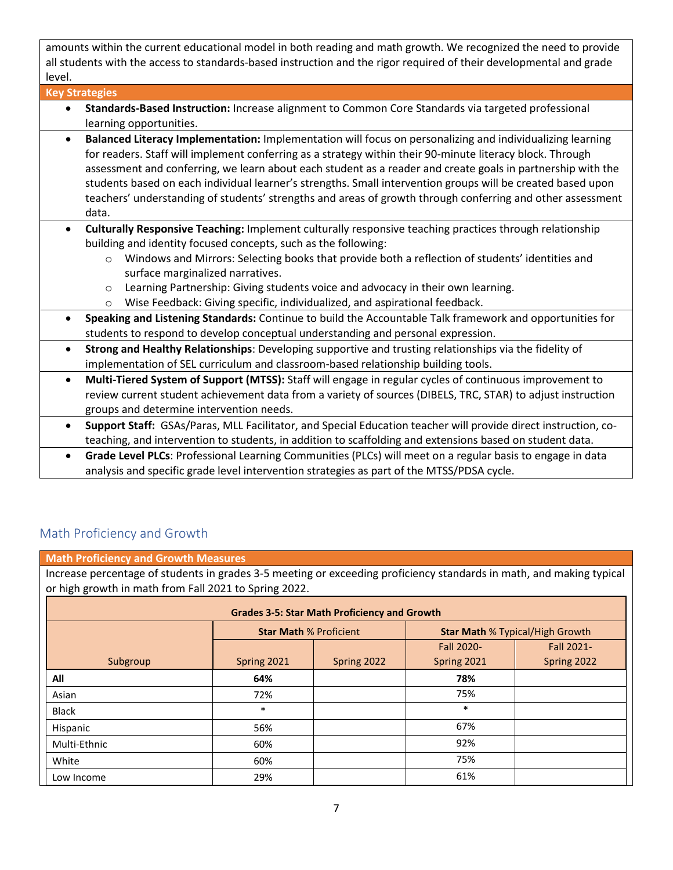amounts within the current educational model in both reading and math growth. We recognized the need to provide all students with the access to standards-based instruction and the rigor required of their developmental and grade level.

| <b>Key Strategies</b>                                                                                                                                                                                                                                                                                                                                                                                                                                                                                                                                                                    |
|------------------------------------------------------------------------------------------------------------------------------------------------------------------------------------------------------------------------------------------------------------------------------------------------------------------------------------------------------------------------------------------------------------------------------------------------------------------------------------------------------------------------------------------------------------------------------------------|
| Standards-Based Instruction: Increase alignment to Common Core Standards via targeted professional<br>$\bullet$                                                                                                                                                                                                                                                                                                                                                                                                                                                                          |
| learning opportunities.                                                                                                                                                                                                                                                                                                                                                                                                                                                                                                                                                                  |
| Balanced Literacy Implementation: Implementation will focus on personalizing and individualizing learning<br>$\bullet$<br>for readers. Staff will implement conferring as a strategy within their 90-minute literacy block. Through<br>assessment and conferring, we learn about each student as a reader and create goals in partnership with the<br>students based on each individual learner's strengths. Small intervention groups will be created based upon<br>teachers' understanding of students' strengths and areas of growth through conferring and other assessment<br>data. |
| Culturally Responsive Teaching: Implement culturally responsive teaching practices through relationship<br>$\bullet$<br>building and identity focused concepts, such as the following:<br>Windows and Mirrors: Selecting books that provide both a reflection of students' identities and<br>$\circ$<br>surface marginalized narratives.<br>Learning Partnership: Giving students voice and advocacy in their own learning.<br>$\circ$<br>Wise Feedback: Giving specific, individualized, and aspirational feedback.<br>$\circ$                                                          |
| Speaking and Listening Standards: Continue to build the Accountable Talk framework and opportunities for<br>$\bullet$<br>students to respond to develop conceptual understanding and personal expression.                                                                                                                                                                                                                                                                                                                                                                                |
| Strong and Healthy Relationships: Developing supportive and trusting relationships via the fidelity of<br>$\bullet$<br>implementation of SEL curriculum and classroom-based relationship building tools.                                                                                                                                                                                                                                                                                                                                                                                 |
| Multi-Tiered System of Support (MTSS): Staff will engage in regular cycles of continuous improvement to<br>$\bullet$<br>review current student achievement data from a variety of sources (DIBELS, TRC, STAR) to adjust instruction<br>groups and determine intervention needs.                                                                                                                                                                                                                                                                                                          |
| Support Staff: GSAs/Paras, MLL Facilitator, and Special Education teacher will provide direct instruction, co-<br>$\bullet$<br>teaching, and intervention to students, in addition to scaffolding and extensions based on student data.                                                                                                                                                                                                                                                                                                                                                  |
| Cuada Laual DLCer Brafassianal Leorning Communities (BLCs) will meet an a regular basis to engage in data                                                                                                                                                                                                                                                                                                                                                                                                                                                                                |

• **Grade Level PLCs**: Professional Learning Communities (PLCs) will meet on a regular basis to engage in data analysis and specific grade level intervention strategies as part of the MTSS/PDSA cycle.

## Math Proficiency and Growth

**Math Proficiency and Growth Measures**

Increase percentage of students in grades 3-5 meeting or exceeding proficiency standards in math, and making typical or high growth in math from Fall 2021 to Spring 2022.

| <b>Grades 3-5: Star Math Proficiency and Growth</b> |                               |             |                                        |             |  |
|-----------------------------------------------------|-------------------------------|-------------|----------------------------------------|-------------|--|
|                                                     | <b>Star Math % Proficient</b> |             | <b>Star Math % Typical/High Growth</b> |             |  |
|                                                     |                               |             |                                        | Fall 2021-  |  |
| Subgroup                                            | Spring 2021                   | Spring 2022 | Spring 2021                            | Spring 2022 |  |
| All                                                 | 64%                           |             | 78%                                    |             |  |
| Asian                                               | 72%                           |             | 75%                                    |             |  |
| <b>Black</b>                                        | $\ast$                        |             | $\ast$                                 |             |  |
| Hispanic                                            | 56%                           |             | 67%                                    |             |  |
| Multi-Ethnic                                        | 60%                           |             | 92%                                    |             |  |
| White                                               | 60%                           |             | 75%                                    |             |  |
| Low Income                                          | 29%                           |             | 61%                                    |             |  |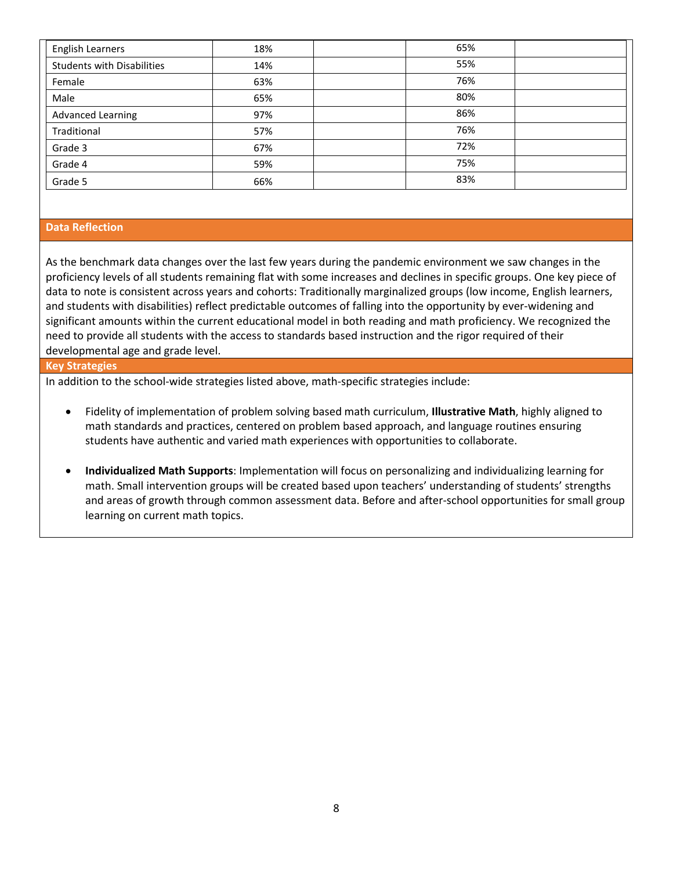| <b>English Learners</b>           | 18% | 65% |
|-----------------------------------|-----|-----|
| <b>Students with Disabilities</b> | 14% | 55% |
| Female                            | 63% | 76% |
| Male                              | 65% | 80% |
| <b>Advanced Learning</b>          | 97% | 86% |
| Traditional                       | 57% | 76% |
| Grade 3                           | 67% | 72% |
| Grade 4                           | 59% | 75% |
| Grade 5                           | 66% | 83% |

#### **Data Reflection**

As the benchmark data changes over the last few years during the pandemic environment we saw changes in the proficiency levels of all students remaining flat with some increases and declines in specific groups. One key piece of data to note is consistent across years and cohorts: Traditionally marginalized groups (low income, English learners, and students with disabilities) reflect predictable outcomes of falling into the opportunity by ever-widening and significant amounts within the current educational model in both reading and math proficiency. We recognized the need to provide all students with the access to standards based instruction and the rigor required of their developmental age and grade level.

#### **Key Strategies**

In addition to the school-wide strategies listed above, math-specific strategies include:

- Fidelity of implementation of problem solving based math curriculum, **Illustrative Math**, highly aligned to math standards and practices, centered on problem based approach, and language routines ensuring students have authentic and varied math experiences with opportunities to collaborate.
- **Individualized Math Supports**: Implementation will focus on personalizing and individualizing learning for math. Small intervention groups will be created based upon teachers' understanding of students' strengths and areas of growth through common assessment data. Before and after-school opportunities for small group learning on current math topics.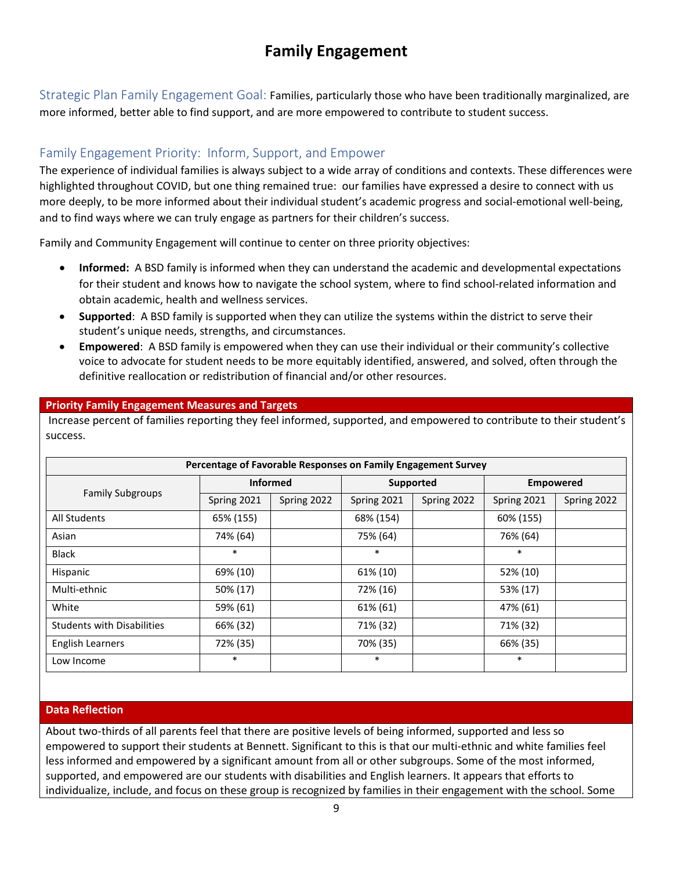## **Family Engagement**

Strategic Plan Family Engagement Goal: Families, particularly those who have been traditionally marginalized, are more informed, better able to find support, and are more empowered to contribute to student success.

## Family Engagement Priority: Inform, Support, and Empower

The experience of individual families is always subject to a wide array of conditions and contexts. These differences were highlighted throughout COVID, but one thing remained true: our families have expressed a desire to connect with us more deeply, to be more informed about their individual student's academic progress and social-emotional well-being, and to find ways where we can truly engage as partners for their children's success.

Family and Community Engagement will continue to center on three priority objectives:

- **Informed:** A BSD family is informed when they can understand the academic and developmental expectations for their student and knows how to navigate the school system, where to find school-related information and obtain academic, health and wellness services.
- **Supported**: A BSD family is supported when they can utilize the systems within the district to serve their student's unique needs, strengths, and circumstances.
- **Empowered**: A BSD family is empowered when they can use their individual or their community's collective voice to advocate for student needs to be more equitably identified, answered, and solved, often through the definitive reallocation or redistribution of financial and/or other resources.

### **Priority Family Engagement Measures and Targets**

Increase percent of families reporting they feel informed, supported, and empowered to contribute to their student's success.

| Percentage of Favorable Responses on Family Engagement Survey |                 |             |             |             |                  |             |
|---------------------------------------------------------------|-----------------|-------------|-------------|-------------|------------------|-------------|
| <b>Family Subgroups</b>                                       | <b>Informed</b> |             | Supported   |             | <b>Empowered</b> |             |
|                                                               | Spring 2021     | Spring 2022 | Spring 2021 | Spring 2022 | Spring 2021      | Spring 2022 |
| All Students                                                  | 65% (155)       |             | 68% (154)   |             | 60% (155)        |             |
| Asian                                                         | 74% (64)        |             | 75% (64)    |             | 76% (64)         |             |
| <b>Black</b>                                                  | $\ast$          |             | $\ast$      |             | $\ast$           |             |
| Hispanic                                                      | 69% (10)        |             | 61% (10)    |             | 52% (10)         |             |
| Multi-ethnic                                                  | 50% (17)        |             | 72% (16)    |             | 53% (17)         |             |
| White                                                         | 59% (61)        |             | 61% (61)    |             | 47% (61)         |             |
| <b>Students with Disabilities</b>                             | 66% (32)        |             | 71% (32)    |             | 71% (32)         |             |
| <b>English Learners</b>                                       | 72% (35)        |             | 70% (35)    |             | 66% (35)         |             |
| Low Income                                                    | $\ast$          |             | $\ast$      |             | $\ast$           |             |

### **Data Reflection**

About two-thirds of all parents feel that there are positive levels of being informed, supported and less so empowered to support their students at Bennett. Significant to this is that our multi-ethnic and white families feel less informed and empowered by a significant amount from all or other subgroups. Some of the most informed, supported, and empowered are our students with disabilities and English learners. It appears that efforts to individualize, include, and focus on these group is recognized by families in their engagement with the school. Some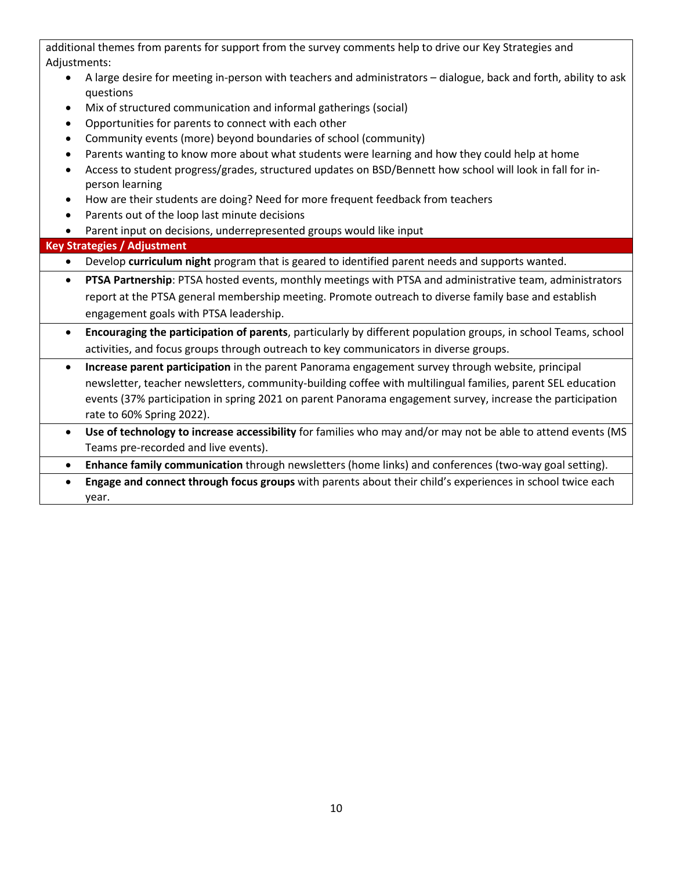|           | additional themes from parents for support from the survey comments help to drive our Key Strategies and                      |
|-----------|-------------------------------------------------------------------------------------------------------------------------------|
|           | Adjustments:                                                                                                                  |
|           | A large desire for meeting in-person with teachers and administrators - dialogue, back and forth, ability to ask<br>questions |
| $\bullet$ | Mix of structured communication and informal gatherings (social)                                                              |
| $\bullet$ | Opportunities for parents to connect with each other                                                                          |
| $\bullet$ | Community events (more) beyond boundaries of school (community)                                                               |
|           | Parents wanting to know more about what students were learning and how they could help at home                                |
| $\bullet$ | Access to student progress/grades, structured updates on BSD/Bennett how school will look in fall for in-<br>person learning  |
| $\bullet$ | How are their students are doing? Need for more frequent feedback from teachers                                               |
| $\bullet$ | Parents out of the loop last minute decisions                                                                                 |
|           | Parent input on decisions, underrepresented groups would like input                                                           |
|           | <b>Key Strategies / Adjustment</b>                                                                                            |
| $\bullet$ | Develop curriculum night program that is geared to identified parent needs and supports wanted.                               |
| $\bullet$ | PTSA Partnership: PTSA hosted events, monthly meetings with PTSA and administrative team, administrators                      |
|           | report at the PTSA general membership meeting. Promote outreach to diverse family base and establish                          |
|           | engagement goals with PTSA leadership.                                                                                        |
| $\bullet$ | Encouraging the participation of parents, particularly by different population groups, in school Teams, school                |
|           | activities, and focus groups through outreach to key communicators in diverse groups.                                         |
| $\bullet$ | Increase parent participation in the parent Panorama engagement survey through website, principal                             |
|           | newsletter, teacher newsletters, community-building coffee with multilingual families, parent SEL education                   |
|           | events (37% participation in spring 2021 on parent Panorama engagement survey, increase the participation                     |
|           | rate to 60% Spring 2022).                                                                                                     |
| $\bullet$ | Use of technology to increase accessibility for families who may and/or may not be able to attend events (MS                  |
|           | Teams pre-recorded and live events).                                                                                          |
| $\bullet$ | Enhance family communication through newsletters (home links) and conferences (two-way goal setting).                         |
|           |                                                                                                                               |

• **Engage and connect through focus groups** with parents about their child's experiences in school twice each year.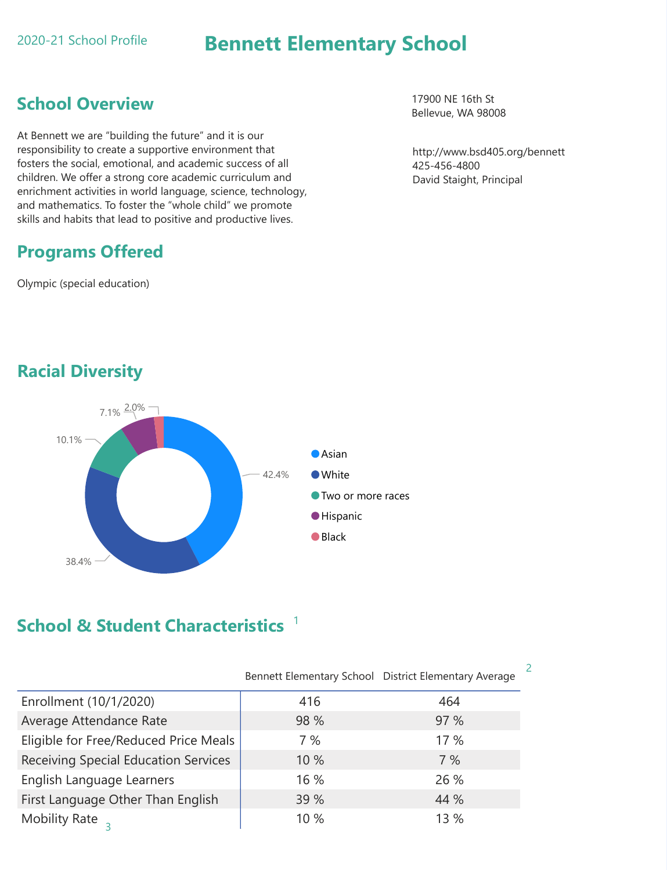Racial Diversity

# 42.4% 10.1%  $7.1\% \frac{2.0\%}{4.0\%}$ **O** Asian White



# School & Student Characteristics<sup>1</sup>

http://www.bsd405.org/bennett 425-456-4800 David Staight, Principal

17900 NE 16th St Bellevue, WA 98008

|                                             |      | Bennett Elementary School District Elementary Average |
|---------------------------------------------|------|-------------------------------------------------------|
| Enrollment (10/1/2020)                      | 416  | 464                                                   |
| Average Attendance Rate                     | 98 % | 97 %                                                  |
| Eligible for Free/Reduced Price Meals       | 7%   | 17%                                                   |
| <b>Receiving Special Education Services</b> | 10 % | 7%                                                    |
| English Language Learners                   | 16 % | 26 %                                                  |
| First Language Other Than English           | 39 % | 44 %                                                  |
| <b>Mobility Rate</b>                        | 10%  | 13 %                                                  |

# Bennett Elementary School

# School Overview

At Bennett we are "building the future" and it is our responsibility to create a supportive environment that fosters the social, emotional, and academic success of all children. We offer a strong core academic curriculum and enrichment activities in world language, science, technology, and mathematics. To foster the "whole child" we promote skills and habits that lead to positive and productive lives.

# Programs Offered

Olympic (special education)

2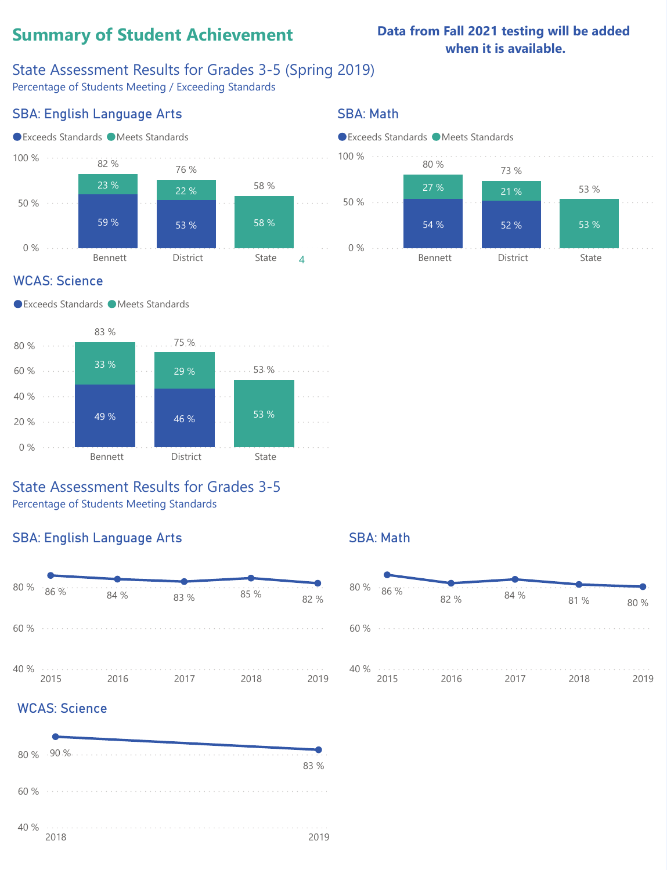# SBA: English Language Arts

## State Assessment Results for Grades 3-5

Percentage of Students Meeting Standards

# SBA: Math





# Summary of Student Achievement

# State Assessment Results for Grades 3-5 (Spring 2019)

Percentage of Students Meeting / Exceeding Standards

# SBA: English Language Arts

# SBA: Math

● Exceeds Standards ● Meets Standards



## ● Exceeds Standards ● Meets Standards

# WCAS: Science

● Exceeds Standards ● Meets Standards



# Data from Fall 2021 testing will be added when it is available.